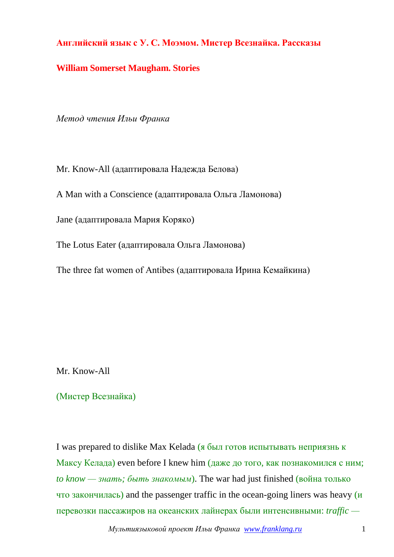## **Английский язык с У. С. Моэмом. Мистер Всезнайка. Рассказы**

## **William Somerset Maugham. Stories**

*Метод чтения Ильи Франка*

Mr. Know-All (адаптировала Надежда Белова)

A Man with a Conscience (адаптировала Ольга Ламонова)

Jane (адаптировала Мария Коряко)

The Lotus Eater (адаптировала Ольга Ламонова)

The three fat women of Antibes (адаптировала Ирина Кемайкина)

Mr. Know-All

(Мистер Всезнайка)

I was prepared to dislike Max Kelada (я был готов испытывать неприязнь к Максу Келада) even before I knew him (даже до того, как познакомился с ним; *to know — знать; быть знакомым*). The war had just finished (война только что закончилась) and the passenger traffic in the ocean-going liners was heavy (и перевозки пассажиров на океанских лайнерах были интенсивными: *traffic —*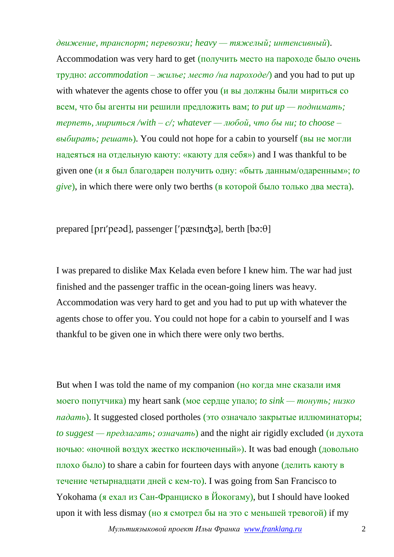*движение, транспорт; перевозки; heavy — тяжелый; интенсивный*). Accommodation was very hard to get (получить место на пароходе было очень трудно: *аccommodation – жилье; место /на пароходе/*) and you had to put up with whatever the agents chose to offer you (и вы должны были мириться со всем, что бы агенты ни решили предложить вам; *to put up — поднимать; терпеть, мириться /with – с/; whatever — любой, что бы ни; to choose – выбирать; решать*). You could not hope for a cabin to yourself (вы не могли надеяться на отдельную каюту: «каюту для себя») and I was thankful to be given one (и я был благодарен получить одну: «быть данным/одаренным»; *to give*), in which there were only two berths (в которой было только два места).

prepared [ $prr'$ peəd], passenger [ $'$ pæs $m\ddot{\sigma}$ ], berth [ $b\ddot{\sigma}$ : $\theta$ ]

I was prepared to dislike Max Kelada even before I knew him. The war had just finished and the passenger traffic in the ocean-going liners was heavy. Accommodation was very hard to get and you had to put up with whatever the agents chose to offer you. You could not hope for a cabin to yourself and I was thankful to be given one in which there were only two berths.

But when I was told the name of my companion (но когда мне сказали имя моего попутчика) my heart sank (мое сердце упало; *to sink — тонуть; низко падать*). It suggested closed portholes (это означало закрытые иллюминаторы; *to suggest — предлагать; означать*) and the night air rigidly excluded (и духота ночью: «ночной воздух жестко исключенный»). It was bad enough (довольно плохо было) to share a cabin for fourteen days with anyone (делить каюту в течение четырнадцати дней с кем-то). I was going from San Francisco to Yokohama (я ехал из Сан-Франциско в Йокогаму), but I should have looked upon it with less dismay (но я смотрел бы на это с меньшей тревогой) if my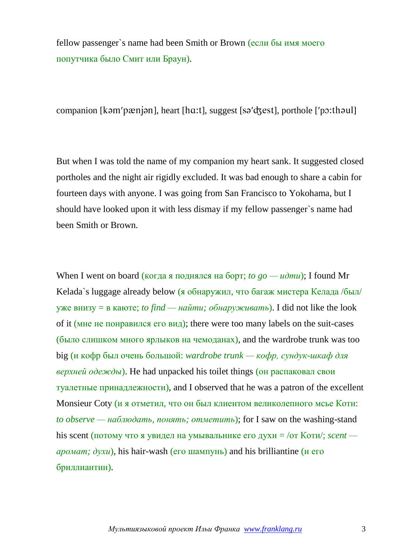fellow passenger`s name had been Smith or Brown (если бы имя моего попутчика было Смит или Браун).

companion [ $k$ əm' $p$ æn $j$ ən], heart [ $ha$ :t], suggest [sə' $d$  $z$ est], porthole [' $p$  $z$ :thəul]

But when I was told the name of my companion my heart sank. It suggested closed portholes and the night air rigidly excluded. It was bad enough to share a cabin for fourteen days with anyone. I was going from San Francisco to Yokohama, but I should have looked upon it with less dismay if my fellow passenger`s name had been Smith or Brown.

When I went on board (когда я поднялся на борт; *to go — udmu*); I found Mr Kelada`s luggage already below (я обнаружил, что багаж мистера Келада /был/ уже внизу = в каюте; *to find — найти; обнаруживать*). I did not like the look of it (мне не понравился его вид); there were too many labels on the suit-cases (было слишком много ярлыков на чемоданах), and the wardrobe trunk was too big (и кофр был очень большой: *wardrobe trunk — кофр, сундук-шкаф для верхней одежды*). He had unpacked his toilet things (он распаковал свои туалетные принадлежности), and I observed that he was a patron of the excellent Monsieur Coty (и я отметил, что он был клиентом великолепного мсье Коти: *to observe — наблюдать, понять; отметить*); for I saw on the washing-stand his scent (потому что я увидел на умывальнике его духи = /от Коти/; *scent аромат; духи*), his hair-wash (его шампунь) and his brilliantine (и его бриллиантин).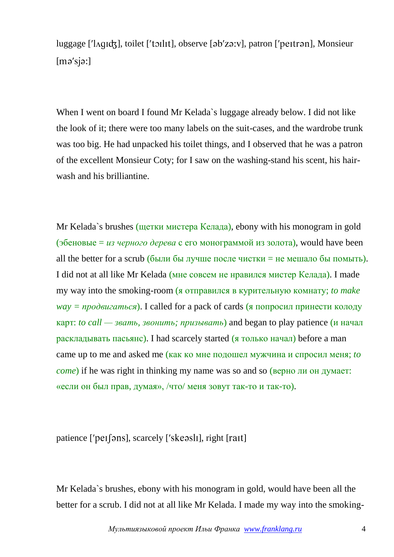luggage [' $\Lambda$ qidz], toilet ['tɔilit], observe [əb'zə:v], patron ['peitrən], Monsieur  $[mə'sjə:]$ 

When I went on board I found Mr Kelada`s luggage already below. I did not like the look of it; there were too many labels on the suit-cases, and the wardrobe trunk was too big. He had unpacked his toilet things, and I observed that he was a patron of the excellent Monsieur Coty; for I saw on the washing-stand his scent, his hairwash and his brilliantine.

Mr Kelada`s brushes (щетки мистера Келада), ebony with his monogram in gold (эбеновые = *из черного дерева* с его монограммой из золота), would have been all the better for a scrub (были бы лучше после чистки = не мешало бы помыть). I did not at all like Mr Kelada (мне совсем не нравился мистер Келада). I made my way into the smoking-room (я отправился в курительную комнату; *to make*   $way = npo$ *двигаться*). I called for a pack of cards (я попросил принести колоду карт: *to call — звать, звонить; призывать*) and began to play patience (и начал раскладывать пасьянс). I had scarcely started (я только начал) before a man came up to me and asked me (как ко мне подошел мужчина и спросил меня; *to come*) if he was right in thinking my name was so and so (верно ли он думает: «если он был прав, думая», /что/ меня зовут так-то и так-то).

patience [ $'$ pe $I$ [əns], scarcely [ $'$ skeəsl $I$ ], right [ $r$ a $I$ t]]

Mr Kelada`s brushes, ebony with his monogram in gold, would have been all the better for a scrub. I did not at all like Mr Kelada. I made my way into the smoking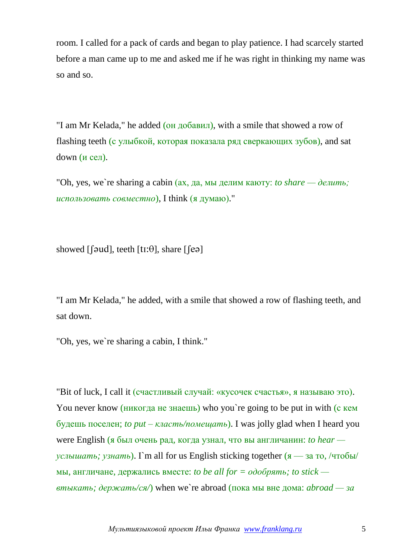room. I called for a pack of cards and began to play patience. I had scarcely started before a man came up to me and asked me if he was right in thinking my name was so and so.

"I am Mr Kelada," he added (он добавил), with a smile that showed a row of flashing teeth (с улыбкой, которая показала ряд сверкающих зубов), and sat down (и сел).

"Oh, yes, we`re sharing a cabin  $(ax, qa, MB$  делим каюту: *to share* — делить; *использовать совместно*), I think (я думаю)."

showed  $\lceil \lceil \frac{\text{d}}{\text{d}} \rceil$ , teeth  $\lceil \text{tI} : \theta \rceil$ , share  $\lceil \lceil \text{e} \cdot \theta \rceil$ 

"I am Mr Kelada," he added, with a smile that showed a row of flashing teeth, and sat down.

"Oh, yes, we`re sharing a cabin, I think."

"Bit of luck, I call it (счастливый случай: «кусочек счастья», я называю это). You never know (никогда не знаешь) who you`re going to be put in with (с кем будешь поселен; *to put – класть/помещать*). I was jolly glad when I heard you were English (я был очень рад, когда узнал, что вы англичанин: *to hear услышать; узнать*). I`m all for us English sticking together  $(x - 3a)$  то, /чтобы/ мы, англичане, держались вместе: *to be all for = одобрять; to stick втыкать; держать/ся/*) when we`re abroad (пока мы вне дома: *abroad — за*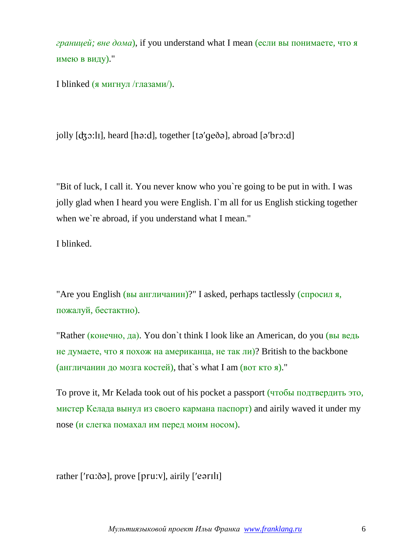*границей; вне дома*), if you understand what I mean (если вы понимаете, что я имею в виду)."

I blinked (я мигнул /глазами/).

jolly  $[d, \infty:]$ , heard  $[h \in \mathcal{A}]$ , together  $[t \circ ' \circ \circ \circ]$ , abroad  $[\circ' \circ \circ \circ]$ 

"Bit of luck, I call it. You never know who you`re going to be put in with. I was jolly glad when I heard you were English. I`m all for us English sticking together when we're abroad, if you understand what I mean."

I blinked.

"Are you English (вы англичанин)?" I asked, perhaps tactlessly (спросил я, пожалуй, бестактно).

"Rather (конечно, да). You don`t think I look like an American, do you (вы ведь не думаете, что я похож на американца, не так ли)? British to the backbone (англичанин до мозга костей), that`s what I am (вот кто я)."

To prove it, Mr Kelada took out of his pocket a passport (чтобы подтвердить это, мистер Келада вынул из своего кармана паспорт) and airily waved it under my nose (и слегка помахал им перед моим носом).

rather  $[$ 'r $a$ :ðə], prove  $[pru:v]$ , airily  $[$ 'eər $1l1]$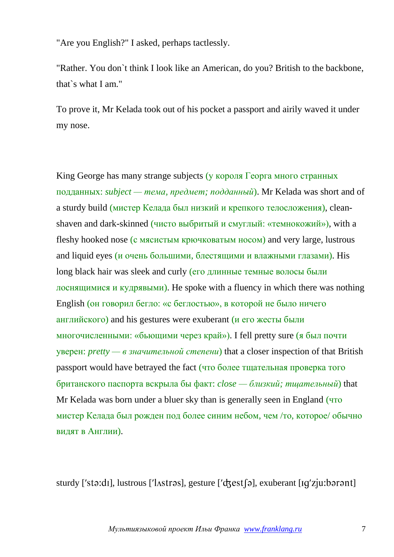"Are you English?" I asked, perhaps tactlessly.

"Rather. You don`t think I look like an American, do you? British to the backbone, that`s what I am."

To prove it, Mr Kelada took out of his pocket a passport and airily waved it under my nose.

King George has many strange subjects (у короля Георга много странных подданных: *subject — тема, предмет; подданный*). Mr Kelada was short and of a sturdy build (мистер Келада был низкий и крепкого телосложения), cleanshaven and dark-skinned (чисто выбритый и смуглый: «темнокожий»), with a fleshy hooked nose (с мясистым крючковатым носом) and very large, lustrous and liquid eyes (и очень большими, блестящими и влажными глазами). His long black hair was sleek and curly (его длинные темные волосы были лоснящимися и кудрявыми). He spoke with a fluency in which there was nothing English (он говорил бегло: «с беглостью», в которой не было ничего английского) and his gestures were exuberant (и его жесты были многочисленными: «бьющими через край»). I fell pretty sure (я был почти уверен: *pretty — в значительной степени*) that a closer inspection of that British passport would have betrayed the fact (что более тщательная проверка того британского паспорта вскрыла бы факт: *close — близкий; тщательный*) that Mr Kelada was born under a bluer sky than is generally seen in England (что мистер Келада был рожден под более синим небом, чем /то, которое/ обычно видят в Англии).

sturdy ['sta:dɪ], lustrous [' $l$ Astras], gesture ['d $\frac{1}{2}$ est $\frac{1}{2}$ ], exuberant [Iq'z $\frac{1}{2}$ u:barant]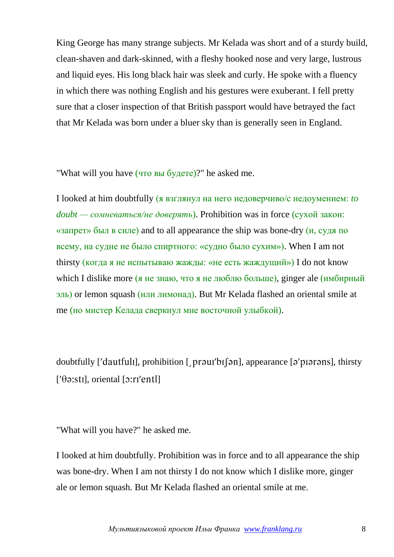King George has many strange subjects. Mr Kelada was short and of a sturdy build, clean-shaven and dark-skinned, with a fleshy hooked nose and very large, lustrous and liquid eyes. His long black hair was sleek and curly. He spoke with a fluency in which there was nothing English and his gestures were exuberant. I fell pretty sure that a closer inspection of that British passport would have betrayed the fact that Mr Kelada was born under a bluer sky than is generally seen in England.

"What will you have (что вы будете)?" he asked me.

I looked at him doubtfully (я взглянул на него недоверчиво/с недоумением: *to doubt — сомневаться/не доверять*). Prohibition was in force (сухой закон: «запрет» был в силе) and to all appearance the ship was bone-dry (и, судя по всему, на судне не было спиртного: «судно было сухим»). When I am not thirsty (когда я не испытываю жажды: «не есть жаждущий») I do not know which I dislike more (я не знаю, что я не люблю больше), ginger ale (имбирный эль) or lemon squash (или лимонад). But Mr Kelada flashed an oriental smile at me (но мистер Келада сверкнул мне восточной улыбкой).

doubtfully ['dautfull], prohibition [  $prqu$ ] [[  $\partial$ n], appearance [ $\partial$ 'p $\partial$  praress], thirsty  $[$ ' $\theta$  $\vartheta$ :sti], oriental  $[\vartheta$ :ri'entl]

"What will you have?" he asked me.

I looked at him doubtfully. Prohibition was in force and to all appearance the ship was bone-dry. When I am not thirsty I do not know which I dislike more, ginger ale or lemon squash. But Mr Kelada flashed an oriental smile at me.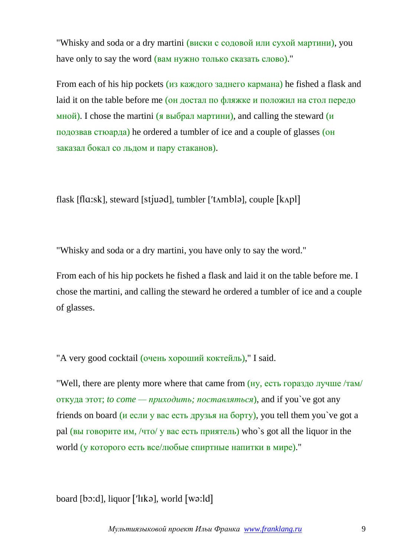"Whisky and soda or a dry martini (виски с содовой или сухой мартини), you have only to say the word (вам нужно только сказать слово)."

From each of his hip pockets (из каждого заднего кармана) he fished a flask and laid it on the table before me (он достал по фляжке и положил на стол передо мной). I chose the martini (я выбрал мартини), and calling the steward (и подозвав стюарда) he ordered a tumbler of ice and a couple of glasses (он заказал бокал со льдом и пару стаканов).

flask [ $fla:sk$ ], steward [ $stjuad$ ], tumbler [' $tambl$ ], couple [ $kapl$ ]

"Whisky and soda or a dry martini, you have only to say the word."

From each of his hip pockets he fished a flask and laid it on the table before me. I chose the martini, and calling the steward he ordered a tumbler of ice and a couple of glasses.

"A very good cocktail (очень хороший коктейль)," I said.

"Well, there are plenty more where that came from (ну, есть гораздо лучше /там/ откуда этот; *to come — приходить; поставляться*), and if you`ve got any friends on board (и если у вас есть друзья на борту), you tell them you`ve got a pal (вы говорите им, /что/ у вас есть приятель) who`s got all the liquor in the world (у которого есть все/любые спиртные напитки в мире)."

board  $[b \circ d]$ , liquor  $[′$ l $lk \circ ]$ , world  $[$ w $\circ$ : $]$ d $]$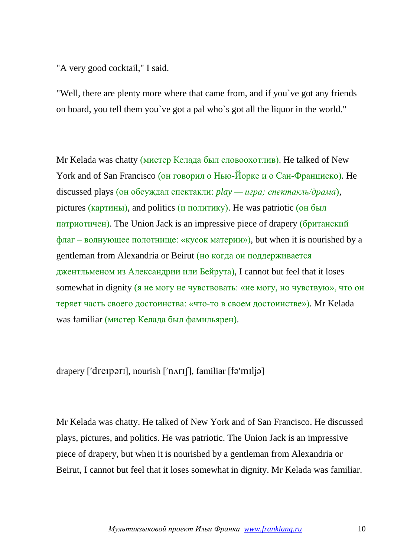"A very good cocktail," I said.

"Well, there are plenty more where that came from, and if you`ve got any friends on board, you tell them you`ve got a pal who`s got all the liquor in the world."

Mr Kelada was chatty (мистер Келада был словоохотлив). He talked of New York and of San Francisco (он говорил о Нью-Йорке и о Сан-Франциско). Не discussed plays (он обсуждал спектакли: *play — игра; спектакль/драма*), pictures (картины), and politics (и политику). He was patriotic (он был патриотичен). The Union Jack is an impressive piece of drapery (британский  $\phi$ лаг – волнующее полотнище: «кусок материи»), but when it is nourished by a gentleman from Alexandria or Beirut (но когда он поддерживается джентльменом из Александрии или Бейрута), I cannot but feel that it loses somewhat in dignity (я не могу не чувствовать: «не могу, но чувствую», что он теряет часть своего достоинства: «что-то в своем достоинстве»). Mr Kelada was familiar (мистер Келада был фамильярен).

drapery ['dreɪpərɪ], nourish ['nʌrɪʃ], familiar [fə'mɪljə]

Mr Kelada was chatty. He talked of New York and of San Francisco. He discussed plays, pictures, and politics. He was patriotic. The Union Jack is an impressive piece of drapery, but when it is nourished by a gentleman from Alexandria or Beirut, I cannot but feel that it loses somewhat in dignity. Mr Kelada was familiar.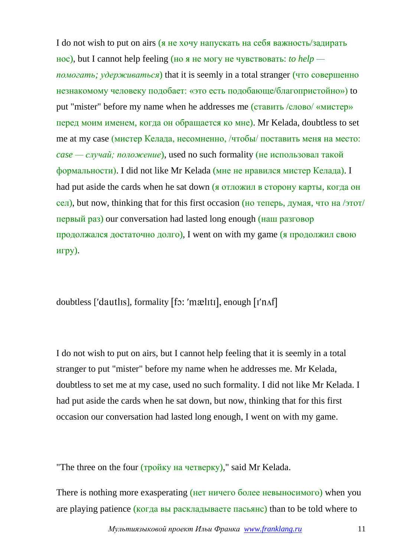I do not wish to put on airs (я не хочу напускать на себя важность/задирать нос), but I cannot help feeling (но я не могу не чувствовать: *to help помогать; удерживаться*) that it is seemly in a total stranger (что совершенно незнакомому человеку подобает: «это есть подобающе/благопристойно») to put "mister" before my name when he addresses me (ставить /слово/ «мистер» перед моим именем, когда он обращается ко мне). Mr Kelada, doubtless to set me at my case (мистер Келада, несомненно, /чтобы/ поставить меня на место: *case — случай; положение*), used no such formality (не использовал такой формальности). I did not like Mr Kelada (мне не нравился мистер Келада). I had put aside the cards when he sat down (я отложил в сторону карты, когда он сел), but now, thinking that for this first occasion (но теперь, думая, что на /этот/ первый раз) our conversation had lasted long enough (наш разговор продолжался достаточно долго), I went on with my game (я продолжил свою игру).

doubtless ['dautlis], formality [fɔ: 'mæliti], enough [I'nʌf]

I do not wish to put on airs, but I cannot help feeling that it is seemly in a total stranger to put "mister" before my name when he addresses me. Mr Kelada, doubtless to set me at my case, used no such formality. I did not like Mr Kelada. I had put aside the cards when he sat down, but now, thinking that for this first occasion our conversation had lasted long enough, I went on with my game.

"The three on the four (тройку на четверку)," said Mr Kelada.

There is nothing more exasperating (нет ничего более невыносимого) when you are playing patience (когда вы раскладываете пасьянс) than to be told where to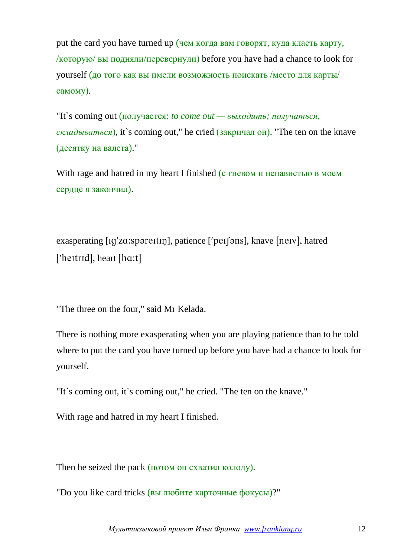put the card you have turned up (чем когда вам говорят, куда класть карту, /которую/ вы подняли/перевернули) before you have had a chance to look for yourself (до того как вы имели возможность поискать /место для карты/ самому).

"It`s coming out (получается: *to come out — выходить; получаться, складываться*), it`s coming out," he cried (закричал он). "The ten on the knave (десятку на валета)."

With rage and hatred in my heart I finished (с гневом и ненавистью в моем сердце я закончил).

exasperating [Ig'zɑ:spəreɪtɪŋ], patience ['peɪsən], knave [neɪv], hatred ['heitrid], heart [hɑ:t]

"The three on the four," said Mr Kelada.

There is nothing more exasperating when you are playing patience than to be told where to put the card you have turned up before you have had a chance to look for yourself.

"It`s coming out, it`s coming out," he cried. "The ten on the knave."

With rage and hatred in my heart I finished.

Then he seized the pack (потом он схватил колоду).

"Do you like card tricks (вы любите карточные фокусы)?"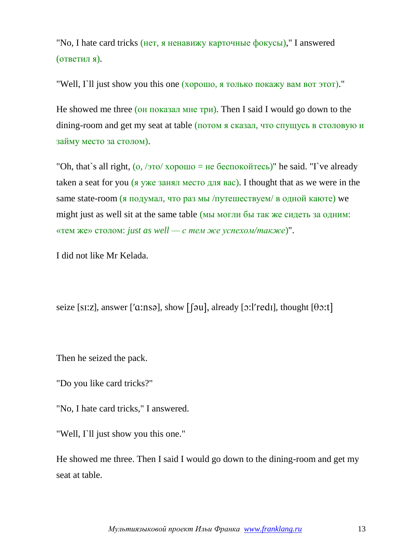"No, I hate card tricks (нет, я ненавижу карточные фокусы)," I answered (ответил я).

"Well, I`ll just show you this one (хорошо, я только покажу вам вот этот)."

He showed me three (он показал мне три). Then I said I would go down to the dining-room and get my seat at table (потом я сказал, что спущусь в столовую и займу место за столом).

"Oh, that`s all right,  $(0, 70/0) \times 10^{10} =$  не беспокойтесь)" he said. "T ve already taken a seat for you (я уже занял место для вас). I thought that as we were in the same state-room (я подумал, что раз мы /путешествуем/ в одной каюте) we might just as well sit at the same table (мы могли бы так же сидеть за одним: «тем же» столом: *just as well — с тем же успехом/также*)".

I did not like Mr Kelada.

seize [s1:z], answer ['a:nsə], show [[əu], already [ $\sigma$ :]'redi], thought [ $\theta$  $\sigma$ :t]

Then he seized the pack.

"Do you like card tricks?"

"No, I hate card tricks," I answered.

"Well, I'll just show you this one."

He showed me three. Then I said I would go down to the dining-room and get my seat at table.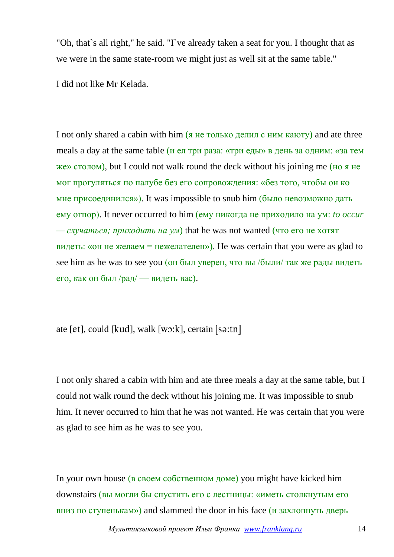"Oh, that`s all right," he said. "I`ve already taken a seat for you. I thought that as we were in the same state-room we might just as well sit at the same table."

I did not like Mr Kelada.

I not only shared a cabin with him (я не только делил с ним каюту) and ate three meals a day at the same table (и ел три раза: «три еды» в день за одним: «за тем же» столом), but I could not walk round the deck without his joining me (но я не мог прогуляться по палубе без его сопровождения: «без того, чтобы он ко мне присоединился»). It was impossible to snub him (было невозможно дать ему отпор). It never occurred to him (ему никогда не приходило на ум: *to occur* — *случаться; приходить на ум*) that he was not wanted (что его не хотят видеть: «он не желаем  $=$  нежелателен»). He was certain that you were as glad to see him as he was to see you (он был уверен, что вы /были/ так же рады видеть его, как он был /рад/ — видеть вас).

ate  $[et]$ , could  $[kud]$ , walk  $[w \cdot k]$ , certain  $[s \cdot t \cdot t]$ 

I not only shared a cabin with him and ate three meals a day at the same table, but I could not walk round the deck without his joining me. It was impossible to snub him. It never occurred to him that he was not wanted. He was certain that you were as glad to see him as he was to see you.

In your own house (в своем собственном доме) you might have kicked him downstairs (вы могли бы спустить его с лестницы: «иметь столкнутым его вниз по ступенькам») and slammed the door in his face  $(u$  захлопнуть дверь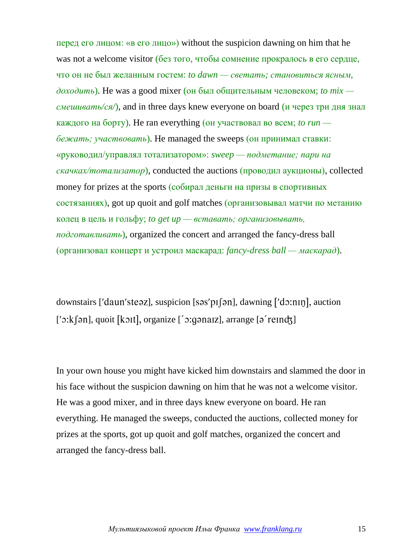перед его лицом: «в его лицо») without the suspicion dawning on him that he was not a welcome visitor (без того, чтобы сомнение прокралось в его сердце, что он не был желанным гостем: *to dawn — светать; становиться ясным, доходить*). He was a good mixer (он был общительным человеком; *to mix смешивать/ся/*), and in three days knew everyone on board (и через три дня знал каждого на борту). He ran everything (он участвовал во всем; *to run бежать; участвовать*). He managed the sweeps (он принимал ставки: «руководил/управлял тотализатором»: *sweep — подметание; пари на скачках/тотализатор*), conducted the auctions (проводил аукционы), collected money for prizes at the sports (собирал деньги на призы в спортивных состязаниях), got up quoit and golf matches (организовывал матчи по метанию колец в цель и гольфу; *to get up — вставать; организовывать, подготавливать*), organized the concert and arranged the fancy-dress ball (организовал концерт и устроил маскарад: *fancy-dress ball — маскарад*).

downstairs ['daun'steaz], suspicion [sas'p $I$ [an], dawning  $[$ 'do:n $I$ n], auction  $['$  $:$  $k$ [ $\circ$ n], quoit [ $k$  $\circ$ nt], organize [ $\circ$ ; corrange  $[\circ']$  reindz]

In your own house you might have kicked him downstairs and slammed the door in his face without the suspicion dawning on him that he was not a welcome visitor. He was a good mixer, and in three days knew everyone on board. He ran everything. He managed the sweeps, conducted the auctions, collected money for prizes at the sports, got up quoit and golf matches, organized the concert and arranged the fancy-dress ball.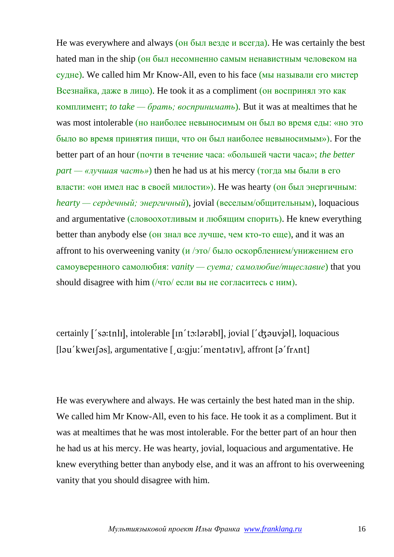He was everywhere and always (он был везде и всегда). He was certainly the best hated man in the ship (он был несомненно самым ненавистным человеком на судне). We called him Mr Know-All, even to his face (мы называли его мистер Всезнайка, даже в лицо). He took it as a compliment (он воспринял это как комплимент; *to take — брать; воспринимать*). But it was at mealtimes that he was most intolerable (но наиболее невыносимым он был во время еды: «но это было во время принятия пищи, что он был наиболее невыносимым»). For the better part of an hour (почти в течение часа: «большей части часа»; *the better part — «лучшая часть»*) then he had us at his mercy (тогда мы были в его власти: «он имел нас в своей милости»). He was hearty (он был энергичным: *hearty — сердечный; энергичный*), jovial (веселым/общительным), loquacious and argumentative (словоохотливым и любящим спорить). He knew everything better than anybody else (он знал все лучше, чем кто-то еще), and it was an affront to his overweening vanity  $\frac{\mu}{300}$  было оскорблением/унижением его самоуверенного самолюбия: *vanity — суета; самолюбие/тщеславие*) that you should disagree with him (/что/ если вы не согласитесь с ним).

certainly  $\lceil$ 'sa:tnli, intolerable  $\lceil$ In'to:larabl, jovial  $\lceil$ 'dzauvjal, loquacious  $[$ [ləu'kweɪ $[s]$ , argumentative  $[$  a:gju:'mentətɪv], affront  $[s]$ 'frʌnt]

He was everywhere and always. He was certainly the best hated man in the ship. We called him Mr Know-All, even to his face. He took it as a compliment. But it was at mealtimes that he was most intolerable. For the better part of an hour then he had us at his mercy. He was hearty, jovial, loquacious and argumentative. He knew everything better than anybody else, and it was an affront to his overweening vanity that you should disagree with him.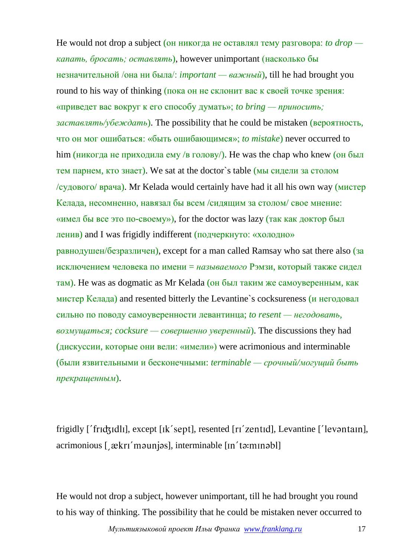He would not drop a subject (он никогда не оставлял тему разговора: *to drop капать, бросать; оставлять*), however unimportant (насколько бы незначительной /она ни была/: *important — важный*), till he had brought you round to his way of thinking (пока он не склонит вас к своей точке зрения: «приведет вас вокруг к его способу думать»; *to bring — приносить; заставлять/убеждать*). The possibility that he could be mistaken (вероятность, что он мог ошибаться: «быть ошибающимся»; *to mistake*) never occurred to him (никогда не приходила ему /в голову/). He was the chap who knew (он был тем парнем, кто знает). We sat at the doctor`s table (мы сидели за столом /судового/ врача). Mr Kelada would certainly have had it all his own way (мистер Келада, несомненно, навязал бы всем /сидящим за столом/ свое мнение: «имел бы все это по-своему»), for the doctor was lazy (так как доктор был ленив) and I was frigidly indifferent (подчеркнуто: «холодно» равнодушен/безразличен), except for a man called Ramsay who sat there also (за исключением человека по имени = *называемого* Рэмзи, который также сидел там). He was as dogmatic as Mr Kelada (он был таким же самоуверенным, как мистер Келада) and resented bitterly the Levantine`s cocksureness (и негодовал сильно по поводу самоуверенности левантинца; *to resent — негодовать, возмущаться; cocksure — совершенно уверенный*). The discussions they had (дискуссии, которые они вели: «имели») were acrimonious and interminable (были язвительными и бесконечными: *terminable — срочный/могущий быть прекращенным*).

frigidly ['frid3idli], except [ik'sept], resented [ri'zentid], Levantine ['levantain], acrimonious [  $\mathcal{R}$ kri'maunjas], interminable [in'ta:minabl]

He would not drop a subject, however unimportant, till he had brought you round to his way of thinking. The possibility that he could be mistaken never occurred to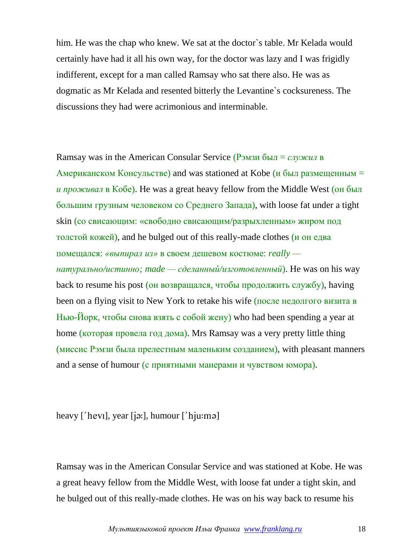him. He was the chap who knew. We sat at the doctor`s table. Mr Kelada would certainly have had it all his own way, for the doctor was lazy and I was frigidly indifferent, except for a man called Ramsay who sat there also. He was as dogmatic as Mr Kelada and resented bitterly the Levantine`s cocksureness. The discussions they had were acrimonious and interminable.

Ramsay was in the American Consular Service (Рэмзи был = *служил* в Американском Консульстве) and was stationed at Kobe (и был размещенным  $=$ *и проживал* в Кобе). He was a great heavy fellow from the Middle West (он был большим грузным человеком со Среднего Запада), with loose fat under a tight skin (со свисающим: «свободно свисающим/разрыхленным» жиром под толстой кожей), and he bulged out of this really-made clothes (и он едва помещался: *«выпирал из»* в своем дешевом костюме: *really натурально/истинно; made — сделанный/изготовленный*). He was on his way back to resume his post (он возвращался, чтобы продолжить службу), having been on a flying visit to New York to retake his wife (после недолгого визита в Нью-Йорк, чтобы снова взять с собой жену) who had been spending a year at home (которая провела год дома). Mrs Ramsay was a very pretty little thing (миссис Рэмзи была прелестным маленьким созданием), with pleasant manners and a sense of humour (с приятными манерами и чувством юмора).

heavy  $\lceil \text{'hevi} \rceil$ , year  $\lceil \text{`pi:} \rceil$ , humour  $\lceil \text{'hju:} \rceil$ 

Ramsay was in the American Consular Service and was stationed at Kobe. He was a great heavy fellow from the Middle West, with loose fat under a tight skin, and he bulged out of this really-made clothes. He was on his way back to resume his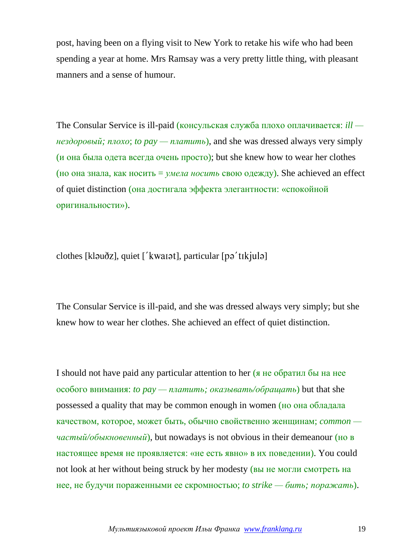post, having been on a flying visit to New York to retake his wife who had been spending a year at home. Mrs Ramsay was a very pretty little thing, with pleasant manners and a sense of humour.

The Consular Service is ill-paid (консульская служба плохо оплачивается: *ill нездоровый; плохо*; *to pay — платить*), and she was dressed always very simply (и она была одета всегда очень просто); but she knew how to wear her clothes (но она знала, как носить = *умела носить* свою одежду). She achieved an effect of quiet distinction (она достигала эффекта элегантности: «спокойной оригинальности»).

 $\alpha$ clothes [klauðz], quiet ['kwarat], particular [pa'tikjula]

The Consular Service is ill-paid, and she was dressed always very simply; but she knew how to wear her clothes. She achieved an effect of quiet distinction.

I should not have paid any particular attention to her (я не обратил бы на нее особого внимания: *to pay — платить; оказывать/обращать*) but that she possessed a quality that may be common enough in women (но она обладала качеством, которое, может быть, обычно свойственно женщинам; *common частый/обыкновенный*), but nowadays is not obvious in their demeanour (но в настоящее время не проявляется: «не есть явно» в их поведении). You could not look at her without being struck by her modesty (вы не могли смотреть на нее, не будучи пораженными ее скромностью; *to strike — бить; поражать*).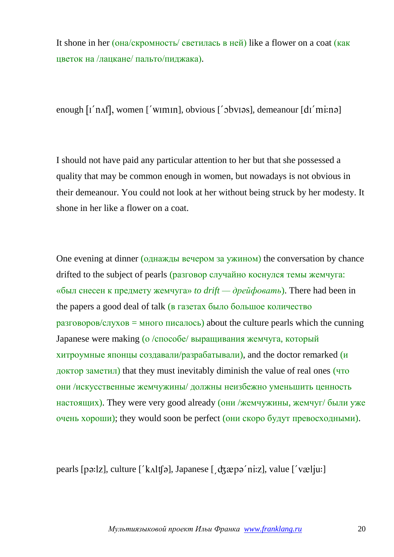It shone in her (она/скромность/ светилась в ней) like a flower on a coat (как цветок на /лацкане/ пальто/пиджака).

enough  $[i'$ n $\Lambda$ f, women  $[i'$ w $m$  $n]$ , obvious  $[i'$  $\Lambda$  $m$ ; demeanour  $[d'$  $m$  $m$ : $n$  $\Lambda$ 

I should not have paid any particular attention to her but that she possessed a quality that may be common enough in women, but nowadays is not obvious in their demeanour. You could not look at her without being struck by her modesty. It shone in her like a flower on a coat.

One evening at dinner (однажды вечером за ужином) the conversation by chance drifted to the subject of pearls (разговор случайно коснулся темы жемчуга: «был снесен к предмету жемчуга» *to drift — дрейфовать*). There had been in the papers a good deal of talk (в газетах было большое количество  $p\alpha$ зговоров/слухов = много писалось) about the culture pearls which the cunning Japanese were making (о /способе/ выращивания жемчуга, который хитроумные японцы создавали/разрабатывали), and the doctor remarked (и доктор заметил) that they must inevitably diminish the value of real ones (что они /искусственные жемчужины/ должны неизбежно уменьшить ценность настоящих). They were very good already (они /жемчужины, жемчуг/ были уже очень хороши); they would soon be perfect (они скоро будут превосходными).

pearls [pə: $|z|$ , culture  $\int K \wedge l(f) \circ l$ , Japanese  $\int d\zeta \otimes p \circ niz$ ], value  $\int' \vee \otimes l_i u$ :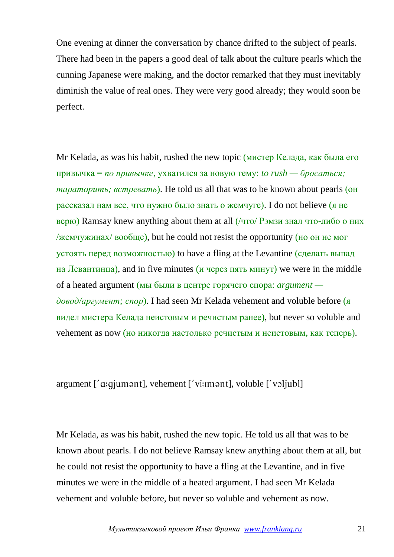One evening at dinner the conversation by chance drifted to the subject of pearls. There had been in the papers a good deal of talk about the culture pearls which the cunning Japanese were making, and the doctor remarked that they must inevitably diminish the value of real ones. They were very good already; they would soon be perfect.

Mr Kelada, as was his habit, rushed the new topic (мистер Келада, как была его привычка = *по привычке*, ухватился за новую тему: *to rush — бросаться; тараторить; встревать*). He told us all that was to be known about pearls (он рассказал нам все, что нужно было знать о жемчуге). I do not believe (я не верю) Ramsay knew anything about them at all (/что/ Рэмзи знал что-либо о них /жемчужинах/ вообще), but he could not resist the opportunity (но он не мог устоять перед возможностью) to have a fling at the Levantine (сделать выпад на Левантинца), and in five minutes (и через пять минут) we were in the middle of a heated argument (мы были в центре горячего спора: *argument довод/аргумент; спор*). I had seen Mr Kelada vehement and voluble before (я видел мистера Келада неистовым и речистым ранее), but never so voluble and vehement as now (но никогда настолько речистым и неистовым, как теперь).

 $argument$  [' $a:qjumant$ ], vehement ['vi:imant], voluble ['voljubl]

Mr Kelada, as was his habit, rushed the new topic. He told us all that was to be known about pearls. I do not believe Ramsay knew anything about them at all, but he could not resist the opportunity to have a fling at the Levantine, and in five minutes we were in the middle of a heated argument. I had seen Mr Kelada vehement and voluble before, but never so voluble and vehement as now.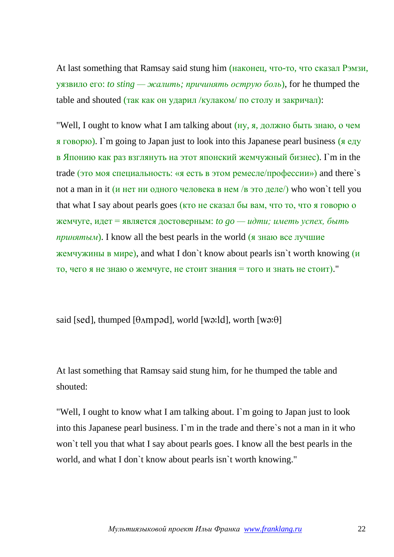At last something that Ramsay said stung him (наконец, что-то, что сказал Рэмзи, уязвило его: *to sting — жалить; причинять острую боль*), for he thumped the table and shouted (так как он ударил /кулаком/ по столу и закричал):

"Well, I ought to know what I am talking about (ну, я, должно быть знаю, о чем я говорю). I`m going to Japan just to look into this Japanese pearl business (я еду в Японию как раз взглянуть на этот японский жемчужный бизнес). I`m in the trade (это моя специальность: «я есть в этом ремесле/профессии») and there`s not a man in it (и нет ни одного человека в нем /в это деле/) who won't tell you that what I say about pearls goes (кто не сказал бы вам, что то, что я говорю о жемчуге, идет = является достоверным: *to go — идти; иметь успех, быть принятым*). I know all the best pearls in the world (я знаю все лучшие жемчужины в мире), and what I don`t know about pearls isn`t worth knowing (и то, чего я не знаю о жемчуге, не стоит знания = того и знать не стоит)."

said [sed], thumped [ $\theta$ Ampad], world [wa:ld], worth [wa: $\theta$ ]

At last something that Ramsay said stung him, for he thumped the table and shouted:

"Well, I ought to know what I am talking about. I`m going to Japan just to look into this Japanese pearl business. I`m in the trade and there`s not a man in it who won`t tell you that what I say about pearls goes. I know all the best pearls in the world, and what I don`t know about pearls isn`t worth knowing."